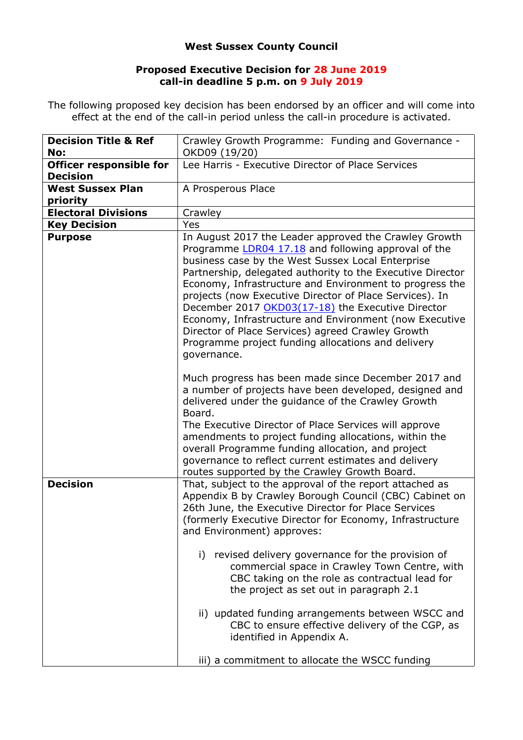## **West Sussex County Council**

## **Proposed Executive Decision for 28 June 2019 call-in deadline 5 p.m. on 9 July 2019**

The following proposed key decision has been endorsed by an officer and will come into effect at the end of the call-in period unless the call-in procedure is activated.

| <b>Decision Title &amp; Ref</b><br>No:            | Crawley Growth Programme: Funding and Governance -<br>OKD09 (19/20)                                                                                                                                                                                                                                                                                                                                                                                                                                                                                                                            |
|---------------------------------------------------|------------------------------------------------------------------------------------------------------------------------------------------------------------------------------------------------------------------------------------------------------------------------------------------------------------------------------------------------------------------------------------------------------------------------------------------------------------------------------------------------------------------------------------------------------------------------------------------------|
| <b>Officer responsible for</b><br><b>Decision</b> | Lee Harris - Executive Director of Place Services                                                                                                                                                                                                                                                                                                                                                                                                                                                                                                                                              |
| <b>West Sussex Plan</b><br>priority               | A Prosperous Place                                                                                                                                                                                                                                                                                                                                                                                                                                                                                                                                                                             |
| <b>Electoral Divisions</b>                        | Crawley                                                                                                                                                                                                                                                                                                                                                                                                                                                                                                                                                                                        |
| <b>Key Decision</b>                               | Yes                                                                                                                                                                                                                                                                                                                                                                                                                                                                                                                                                                                            |
| <b>Purpose</b>                                    | In August 2017 the Leader approved the Crawley Growth<br>Programme LDR04 17.18 and following approval of the<br>business case by the West Sussex Local Enterprise<br>Partnership, delegated authority to the Executive Director<br>Economy, Infrastructure and Environment to progress the<br>projects (now Executive Director of Place Services). In<br>December 2017 OKD03(17-18) the Executive Director<br>Economy, Infrastructure and Environment (now Executive<br>Director of Place Services) agreed Crawley Growth<br>Programme project funding allocations and delivery<br>governance. |
|                                                   | Much progress has been made since December 2017 and<br>a number of projects have been developed, designed and<br>delivered under the guidance of the Crawley Growth<br>Board.<br>The Executive Director of Place Services will approve<br>amendments to project funding allocations, within the<br>overall Programme funding allocation, and project<br>governance to reflect current estimates and delivery<br>routes supported by the Crawley Growth Board.                                                                                                                                  |
| <b>Decision</b>                                   | That, subject to the approval of the report attached as<br>Appendix B by Crawley Borough Council (CBC) Cabinet on<br>26th June, the Executive Director for Place Services<br>(formerly Executive Director for Economy, Infrastructure<br>and Environment) approves:<br>i) revised delivery governance for the provision of<br>commercial space in Crawley Town Centre, with                                                                                                                                                                                                                    |
|                                                   | CBC taking on the role as contractual lead for<br>the project as set out in paragraph 2.1<br>ii) updated funding arrangements between WSCC and<br>CBC to ensure effective delivery of the CGP, as<br>identified in Appendix A.<br>iii) a commitment to allocate the WSCC funding                                                                                                                                                                                                                                                                                                               |